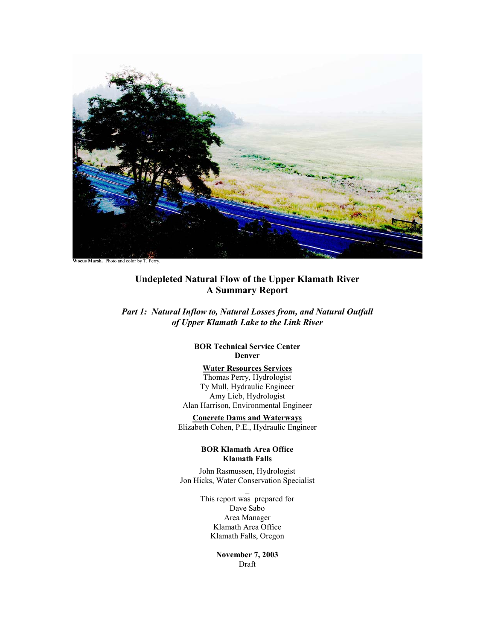

**Undepleted Natural Flow of the Upper Klamath River A Summary Report** 

*Part 1: Natural Inflow to, Natural Losses from, and Natural Outfall of Upper Klamath Lake to the Link River* 

> **BOR Technical Service Center Denver**

# **Water Resources Services**

Thomas Perry, Hydrologist Ty Mull, Hydraulic Engineer Amy Lieb, Hydrologist Alan Harrison, Environmental Engineer

**Concrete Dams and Waterways** Elizabeth Cohen, P.E., Hydraulic Engineer

## **BOR Klamath Area Office Klamath Falls**

John Rasmussen, Hydrologist Jon Hicks, Water Conservation Specialist

> This report was prepared for Dave Sabo Area Manager Klamath Area Office Klamath Falls, Oregon

> > **November 7, 2003**  Draft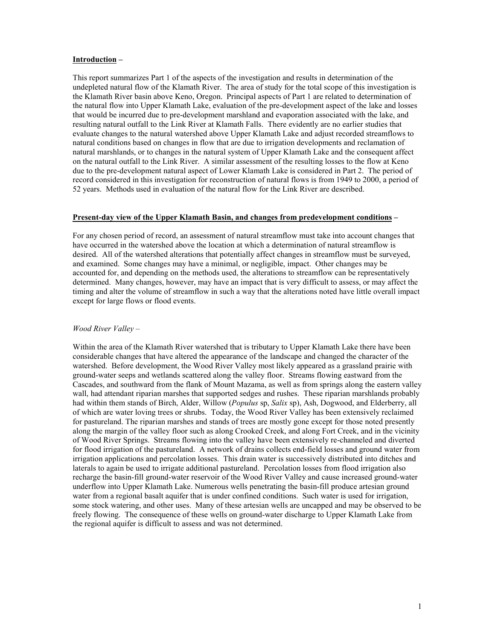### **Introduction –**

This report summarizes Part 1 of the aspects of the investigation and results in determination of the undepleted natural flow of the Klamath River. The area of study for the total scope of this investigation is the Klamath River basin above Keno, Oregon. Principal aspects of Part 1 are related to determination of the natural flow into Upper Klamath Lake, evaluation of the pre-development aspect of the lake and losses that would be incurred due to pre-development marshland and evaporation associated with the lake, and resulting natural outfall to the Link River at Klamath Falls. There evidently are no earlier studies that evaluate changes to the natural watershed above Upper Klamath Lake and adjust recorded streamflows to natural conditions based on changes in flow that are due to irrigation developments and reclamation of natural marshlands, or to changes in the natural system of Upper Klamath Lake and the consequent affect on the natural outfall to the Link River. A similar assessment of the resulting losses to the flow at Keno due to the pre-development natural aspect of Lower Klamath Lake is considered in Part 2. The period of record considered in this investigation for reconstruction of natural flows is from 1949 to 2000, a period of 52 years. Methods used in evaluation of the natural flow for the Link River are described.

## **Present-day view of the Upper Klamath Basin, and changes from predevelopment conditions –**

For any chosen period of record, an assessment of natural streamflow must take into account changes that have occurred in the watershed above the location at which a determination of natural streamflow is desired. All of the watershed alterations that potentially affect changes in streamflow must be surveyed, and examined. Some changes may have a minimal, or negligible, impact. Other changes may be accounted for, and depending on the methods used, the alterations to streamflow can be representatively determined. Many changes, however, may have an impact that is very difficult to assess, or may affect the timing and alter the volume of streamflow in such a way that the alterations noted have little overall impact except for large flows or flood events.

## *Wood River Valley –*

Within the area of the Klamath River watershed that is tributary to Upper Klamath Lake there have been considerable changes that have altered the appearance of the landscape and changed the character of the watershed. Before development, the Wood River Valley most likely appeared as a grassland prairie with ground-water seeps and wetlands scattered along the valley floor. Streams flowing eastward from the Cascades, and southward from the flank of Mount Mazama, as well as from springs along the eastern valley wall, had attendant riparian marshes that supported sedges and rushes. These riparian marshlands probably had within them stands of Birch, Alder, Willow (*Populus* sp, *Salix* sp), Ash, Dogwood, and Elderberry, all of which are water loving trees or shrubs. Today, the Wood River Valley has been extensively reclaimed for pastureland. The riparian marshes and stands of trees are mostly gone except for those noted presently along the margin of the valley floor such as along Crooked Creek, and along Fort Creek, and in the vicinity of Wood River Springs. Streams flowing into the valley have been extensively re-channeled and diverted for flood irrigation of the pastureland. A network of drains collects end-field losses and ground water from irrigation applications and percolation losses. This drain water is successively distributed into ditches and laterals to again be used to irrigate additional pastureland. Percolation losses from flood irrigation also recharge the basin-fill ground-water reservoir of the Wood River Valley and cause increased ground-water underflow into Upper Klamath Lake. Numerous wells penetrating the basin-fill produce artesian ground water from a regional basalt aquifer that is under confined conditions. Such water is used for irrigation, some stock watering, and other uses. Many of these artesian wells are uncapped and may be observed to be freely flowing. The consequence of these wells on ground-water discharge to Upper Klamath Lake from the regional aquifer is difficult to assess and was not determined.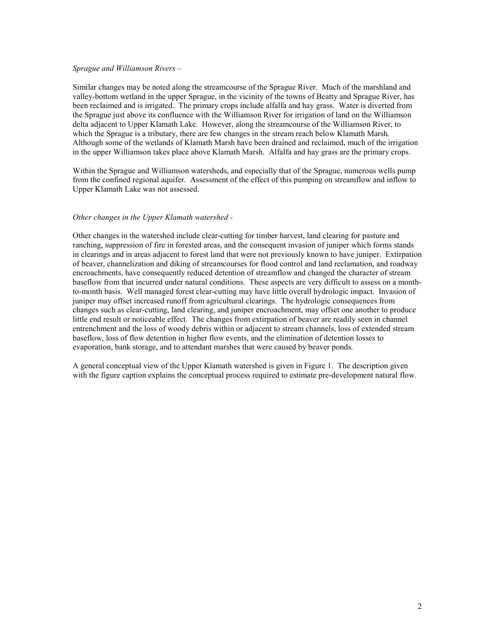#### *Sprague and Williamson Rivers –*

Similar changes may be noted along the streamcourse of the Sprague River. Much of the marshland and valley-bottom wetland in the upper Sprague, in the vicinity of the towns of Beatty and Sprague River, has been reclaimed and is irrigated. The primary crops include alfalfa and hay grass. Water is diverted from the Sprague just above its confluence with the Williamson River for irrigation of land on the Williamson delta adjacent to Upper Klamath Lake. However, along the streamcourse of the Williamson River, to which the Sprague is a tributary, there are few changes in the stream reach below Klamath Marsh. Although some of the wetlands of Klamath Marsh have been drained and reclaimed, much of the irrigation in the upper Williamson takes place above Klamath Marsh. Alfalfa and hay grass are the primary crops.

Within the Sprague and Williamson watersheds, and especially that of the Sprague, numerous wells pump from the confined regional aquifer. Assessment of the effect of this pumping on streamflow and inflow to Upper Klamath Lake was not assessed.

#### *Other changes in the Upper Klamath watershed -*

Other changes in the watershed include clear-cutting for timber harvest, land clearing for pasture and ranching, suppression of fire in forested areas, and the consequent invasion of juniper which forms stands in clearings and in areas adjacent to forest land that were not previously known to have juniper. Extirpation of beaver, channelization and diking of streamcourses for flood control and land reclamation, and roadway encroachments, have consequently reduced detention of streamflow and changed the character of stream baseflow from that incurred under natural conditions. These aspects are very difficult to assess on a monthto-month basis. Well managed forest clear-cutting may have little overall hydrologic impact. Invasion of juniper may offset increased runoff from agricultural clearings. The hydrologic consequences from changes such as clear-cutting, land clearing, and juniper encroachment, may offset one another to produce little end result or noticeable effect. The changes from extirpation of beaver are readily seen in channel entrenchment and the loss of woody debris within or adjacent to stream channels, loss of extended stream baseflow, loss of flow detention in higher flow events, and the elimination of detention losses to evaporation, bank storage, and to attendant marshes that were caused by beaver ponds.

A general conceptual view of the Upper Klamath watershed is given in Figure 1. The description given with the figure caption explains the conceptual process required to estimate pre-development natural flow.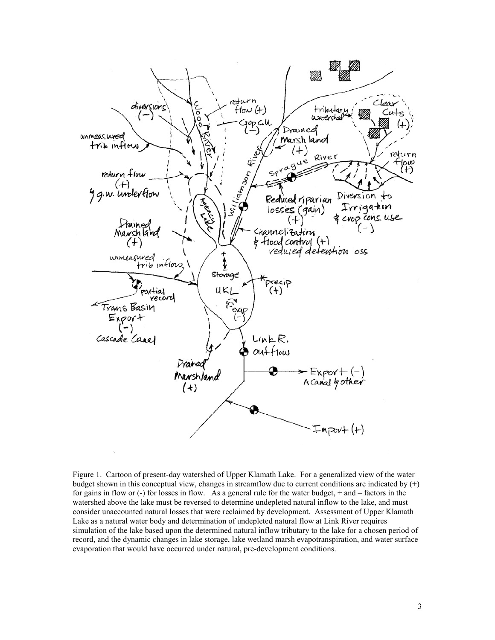

Figure 1. Cartoon of present-day watershed of Upper Klamath Lake. For a generalized view of the water budget shown in this conceptual view, changes in streamflow due to current conditions are indicated by  $(+)$ for gains in flow or (-) for losses in flow. As a general rule for the water budget, + and – factors in the watershed above the lake must be reversed to determine undepleted natural inflow to the lake, and must consider unaccounted natural losses that were reclaimed by development. Assessment of Upper Klamath Lake as a natural water body and determination of undepleted natural flow at Link River requires simulation of the lake based upon the determined natural inflow tributary to the lake for a chosen period of record, and the dynamic changes in lake storage, lake wetland marsh evapotranspiration, and water surface evaporation that would have occurred under natural, pre-development conditions.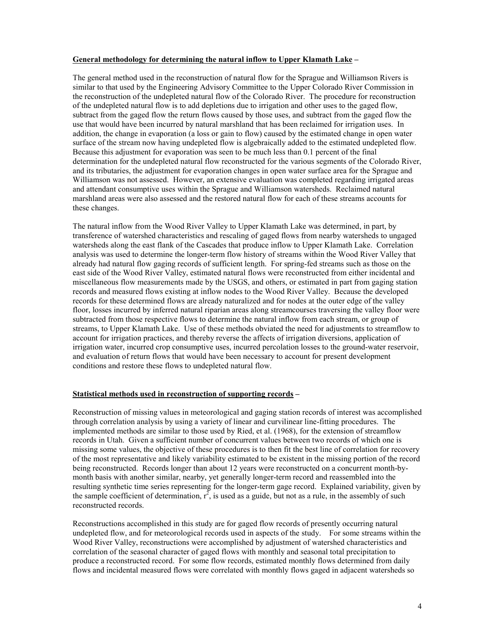### **General methodology for determining the natural inflow to Upper Klamath Lake –**

The general method used in the reconstruction of natural flow for the Sprague and Williamson Rivers is similar to that used by the Engineering Advisory Committee to the Upper Colorado River Commission in the reconstruction of the undepleted natural flow of the Colorado River. The procedure for reconstruction of the undepleted natural flow is to add depletions due to irrigation and other uses to the gaged flow, subtract from the gaged flow the return flows caused by those uses, and subtract from the gaged flow the use that would have been incurred by natural marshland that has been reclaimed for irrigation uses. In addition, the change in evaporation (a loss or gain to flow) caused by the estimated change in open water surface of the stream now having undepleted flow is algebraically added to the estimated undepleted flow. Because this adjustment for evaporation was seen to be much less than 0.1 percent of the final determination for the undepleted natural flow reconstructed for the various segments of the Colorado River, and its tributaries, the adjustment for evaporation changes in open water surface area for the Sprague and Williamson was not assessed. However, an extensive evaluation was completed regarding irrigated areas and attendant consumptive uses within the Sprague and Williamson watersheds. Reclaimed natural marshland areas were also assessed and the restored natural flow for each of these streams accounts for these changes.

The natural inflow from the Wood River Valley to Upper Klamath Lake was determined, in part, by transference of watershed characteristics and rescaling of gaged flows from nearby watersheds to ungaged watersheds along the east flank of the Cascades that produce inflow to Upper Klamath Lake. Correlation analysis was used to determine the longer-term flow history of streams within the Wood River Valley that already had natural flow gaging records of sufficient length. For spring-fed streams such as those on the east side of the Wood River Valley, estimated natural flows were reconstructed from either incidental and miscellaneous flow measurements made by the USGS, and others, or estimated in part from gaging station records and measured flows existing at inflow nodes to the Wood River Valley. Because the developed records for these determined flows are already naturalized and for nodes at the outer edge of the valley floor, losses incurred by inferred natural riparian areas along streamcourses traversing the valley floor were subtracted from those respective flows to determine the natural inflow from each stream, or group of streams, to Upper Klamath Lake. Use of these methods obviated the need for adjustments to streamflow to account for irrigation practices, and thereby reverse the affects of irrigation diversions, application of irrigation water, incurred crop consumptive uses, incurred percolation losses to the ground-water reservoir, and evaluation of return flows that would have been necessary to account for present development conditions and restore these flows to undepleted natural flow.

### **Statistical methods used in reconstruction of supporting records –**

Reconstruction of missing values in meteorological and gaging station records of interest was accomplished through correlation analysis by using a variety of linear and curvilinear line-fitting procedures. The implemented methods are similar to those used by Ried, et al. (1968), for the extension of streamflow records in Utah. Given a sufficient number of concurrent values between two records of which one is missing some values, the objective of these procedures is to then fit the best line of correlation for recovery of the most representative and likely variability estimated to be existent in the missing portion of the record being reconstructed. Records longer than about 12 years were reconstructed on a concurrent month-bymonth basis with another similar, nearby, yet generally longer-term record and reassembled into the resulting synthetic time series representing for the longer-term gage record. Explained variability, given by the sample coefficient of determination,  $r^2$ , is used as a guide, but not as a rule, in the assembly of such reconstructed records.

Reconstructions accomplished in this study are for gaged flow records of presently occurring natural undepleted flow, and for meteorological records used in aspects of the study. For some streams within the Wood River Valley, reconstructions were accomplished by adjustment of watershed characteristics and correlation of the seasonal character of gaged flows with monthly and seasonal total precipitation to produce a reconstructed record. For some flow records, estimated monthly flows determined from daily flows and incidental measured flows were correlated with monthly flows gaged in adjacent watersheds so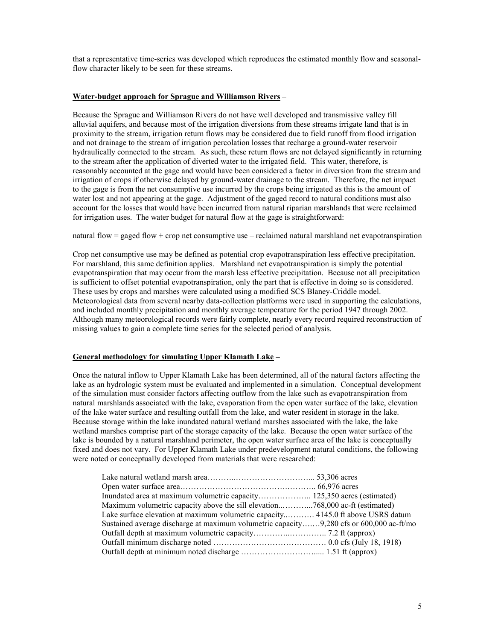that a representative time-series was developed which reproduces the estimated monthly flow and seasonalflow character likely to be seen for these streams.

### **Water-budget approach for Sprague and Williamson Rivers –**

Because the Sprague and Williamson Rivers do not have well developed and transmissive valley fill alluvial aquifers, and because most of the irrigation diversions from these streams irrigate land that is in proximity to the stream, irrigation return flows may be considered due to field runoff from flood irrigation and not drainage to the stream of irrigation percolation losses that recharge a ground-water reservoir hydraulically connected to the stream. As such, these return flows are not delayed significantly in returning to the stream after the application of diverted water to the irrigated field. This water, therefore, is reasonably accounted at the gage and would have been considered a factor in diversion from the stream and irrigation of crops if otherwise delayed by ground-water drainage to the stream. Therefore, the net impact to the gage is from the net consumptive use incurred by the crops being irrigated as this is the amount of water lost and not appearing at the gage. Adjustment of the gaged record to natural conditions must also account for the losses that would have been incurred from natural riparian marshlands that were reclaimed for irrigation uses. The water budget for natural flow at the gage is straightforward:

natural flow = gaged flow + crop net consumptive use – reclaimed natural marshland net evapotranspiration

Crop net consumptive use may be defined as potential crop evapotranspiration less effective precipitation. For marshland, this same definition applies. Marshland net evapotranspiration is simply the potential evapotranspiration that may occur from the marsh less effective precipitation. Because not all precipitation is sufficient to offset potential evapotranspiration, only the part that is effective in doing so is considered. These uses by crops and marshes were calculated using a modified SCS Blaney-Criddle model. Meteorological data from several nearby data-collection platforms were used in supporting the calculations, and included monthly precipitation and monthly average temperature for the period 1947 through 2002. Although many meteorological records were fairly complete, nearly every record required reconstruction of missing values to gain a complete time series for the selected period of analysis.

### **General methodology for simulating Upper Klamath Lake –**

Once the natural inflow to Upper Klamath Lake has been determined, all of the natural factors affecting the lake as an hydrologic system must be evaluated and implemented in a simulation. Conceptual development of the simulation must consider factors affecting outflow from the lake such as evapotranspiration from natural marshlands associated with the lake, evaporation from the open water surface of the lake, elevation of the lake water surface and resulting outfall from the lake, and water resident in storage in the lake. Because storage within the lake inundated natural wetland marshes associated with the lake, the lake wetland marshes comprise part of the storage capacity of the lake. Because the open water surface of the lake is bounded by a natural marshland perimeter, the open water surface area of the lake is conceptually fixed and does not vary. For Upper Klamath Lake under predevelopment natural conditions, the following were noted or conceptually developed from materials that were researched:

| Maximum volumetric capacity above the sill elevation768,000 ac-ft (estimated)           |  |
|-----------------------------------------------------------------------------------------|--|
| Lake surface elevation at maximum volumetric capacity 4145.0 ft above USRS datum        |  |
| Sustained average discharge at maximum volumetric capacity9,280 cfs or 600,000 ac-ft/mo |  |
|                                                                                         |  |
|                                                                                         |  |
|                                                                                         |  |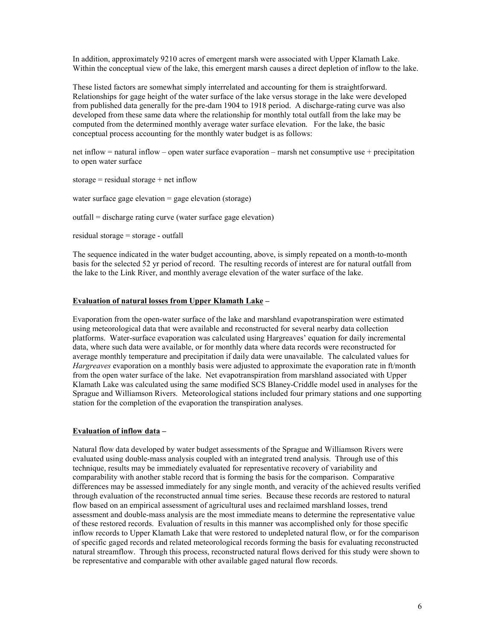In addition, approximately 9210 acres of emergent marsh were associated with Upper Klamath Lake. Within the conceptual view of the lake, this emergent marsh causes a direct depletion of inflow to the lake.

These listed factors are somewhat simply interrelated and accounting for them is straightforward. Relationships for gage height of the water surface of the lake versus storage in the lake were developed from published data generally for the pre-dam 1904 to 1918 period. A discharge-rating curve was also developed from these same data where the relationship for monthly total outfall from the lake may be computed from the determined monthly average water surface elevation. For the lake, the basic conceptual process accounting for the monthly water budget is as follows:

net inflow = natural inflow – open water surface evaporation – marsh net consumptive use + precipitation to open water surface

storage = residual storage + net inflow

water surface gage elevation  $=$  gage elevation (storage)

outfall = discharge rating curve (water surface gage elevation)

residual storage = storage - outfall

The sequence indicated in the water budget accounting, above, is simply repeated on a month-to-month basis for the selected 52 yr period of record. The resulting records of interest are for natural outfall from the lake to the Link River, and monthly average elevation of the water surface of the lake.

#### **Evaluation of natural losses from Upper Klamath Lake –**

Evaporation from the open-water surface of the lake and marshland evapotranspiration were estimated using meteorological data that were available and reconstructed for several nearby data collection platforms. Water-surface evaporation was calculated using Hargreaves' equation for daily incremental data, where such data were available, or for monthly data where data records were reconstructed for average monthly temperature and precipitation if daily data were unavailable. The calculated values for *Hargreaves* evaporation on a monthly basis were adjusted to approximate the evaporation rate in ft/month from the open water surface of the lake. Net evapotranspiration from marshland associated with Upper Klamath Lake was calculated using the same modified SCS Blaney-Criddle model used in analyses for the Sprague and Williamson Rivers. Meteorological stations included four primary stations and one supporting station for the completion of the evaporation the transpiration analyses.

## **Evaluation of inflow data –**

Natural flow data developed by water budget assessments of the Sprague and Williamson Rivers were evaluated using double-mass analysis coupled with an integrated trend analysis. Through use of this technique, results may be immediately evaluated for representative recovery of variability and comparability with another stable record that is forming the basis for the comparison. Comparative differences may be assessed immediately for any single month, and veracity of the achieved results verified through evaluation of the reconstructed annual time series. Because these records are restored to natural flow based on an empirical assessment of agricultural uses and reclaimed marshland losses, trend assessment and double-mass analysis are the most immediate means to determine the representative value of these restored records. Evaluation of results in this manner was accomplished only for those specific inflow records to Upper Klamath Lake that were restored to undepleted natural flow, or for the comparison of specific gaged records and related meteorological records forming the basis for evaluating reconstructed natural streamflow. Through this process, reconstructed natural flows derived for this study were shown to be representative and comparable with other available gaged natural flow records.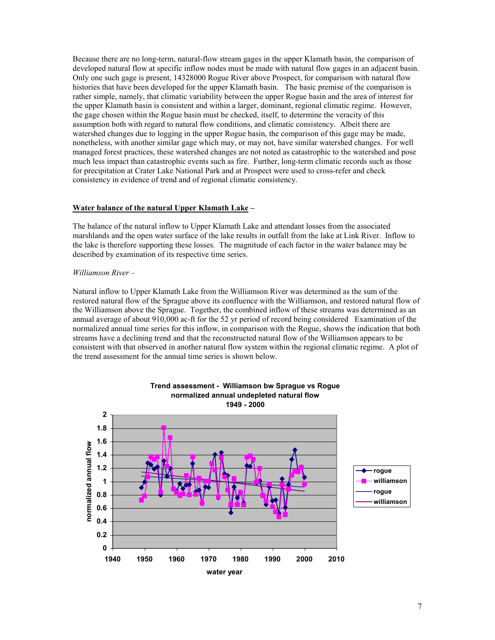Because there are no long-term, natural-flow stream gages in the upper Klamath basin, the comparison of developed natural flow at specific inflow nodes must be made with natural flow gages in an adjacent basin. Only one such gage is present, 14328000 Rogue River above Prospect, for comparison with natural flow histories that have been developed for the upper Klamath basin. The basic premise of the comparison is rather simple, namely, that climatic variability between the upper Rogue basin and the area of interest for the upper Klamath basin is consistent and within a larger, dominant, regional climatic regime. However, the gage chosen within the Rogue basin must be checked, itself, to determine the veracity of this assumption both with regard to natural flow conditions, and climatic consistency. Albeit there are watershed changes due to logging in the upper Rogue basin, the comparison of this gage may be made, nonetheless, with another similar gage which may, or may not, have similar watershed changes. For well managed forest practices, these watershed changes are not noted as catastrophic to the watershed and pose much less impact than catastrophic events such as fire. Further, long-term climatic records such as those for precipitation at Crater Lake National Park and at Prospect were used to cross-refer and check consistency in evidence of trend and of regional climatic consistency.

### **Water balance of the natural Upper Klamath Lake –**

The balance of the natural inflow to Upper Klamath Lake and attendant losses from the associated marshlands and the open water surface of the lake results in outfall from the lake at Link River. Inflow to the lake is therefore supporting these losses. The magnitude of each factor in the water balance may be described by examination of its respective time series.

#### *Williamson River –*

Natural inflow to Upper Klamath Lake from the Williamson River was determined as the sum of the restored natural flow of the Sprague above its confluence with the Williamson, and restored natural flow of the Williamson above the Sprague. Together, the combined inflow of these streams was determined as an annual average of about 910,000 ac-ft for the 52 yr period of record being considered Examination of the normalized annual time series for this inflow, in comparison with the Rogue, shows the indication that both streams have a declining trend and that the reconstructed natural flow of the Williamson appears to be consistent with that observed in another natural flow system within the regional climatic regime. A plot of the trend assessment for the annual time series is shown below.

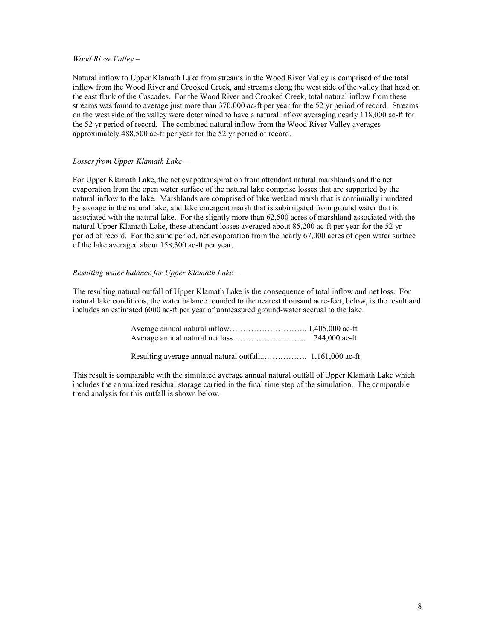### *Wood River Valley* –

Natural inflow to Upper Klamath Lake from streams in the Wood River Valley is comprised of the total inflow from the Wood River and Crooked Creek, and streams along the west side of the valley that head on the east flank of the Cascades. For the Wood River and Crooked Creek, total natural inflow from these streams was found to average just more than 370,000 ac-ft per year for the 52 yr period of record. Streams on the west side of the valley were determined to have a natural inflow averaging nearly 118,000 ac-ft for the 52 yr period of record. The combined natural inflow from the Wood River Valley averages approximately 488,500 ac-ft per year for the 52 yr period of record.

## *Losses from Upper Klamath Lake* –

For Upper Klamath Lake, the net evapotranspiration from attendant natural marshlands and the net evaporation from the open water surface of the natural lake comprise losses that are supported by the natural inflow to the lake. Marshlands are comprised of lake wetland marsh that is continually inundated by storage in the natural lake, and lake emergent marsh that is subirrigated from ground water that is associated with the natural lake. For the slightly more than 62,500 acres of marshland associated with the natural Upper Klamath Lake, these attendant losses averaged about 85,200 ac-ft per year for the 52 yr period of record. For the same period, net evaporation from the nearly 67,000 acres of open water surface of the lake averaged about 158,300 ac-ft per year.

## *Resulting water balance for Upper Klamath Lake* –

The resulting natural outfall of Upper Klamath Lake is the consequence of total inflow and net loss. For natural lake conditions, the water balance rounded to the nearest thousand acre-feet, below, is the result and includes an estimated 6000 ac-ft per year of unmeasured ground-water accrual to the lake.

This result is comparable with the simulated average annual natural outfall of Upper Klamath Lake which includes the annualized residual storage carried in the final time step of the simulation. The comparable trend analysis for this outfall is shown below.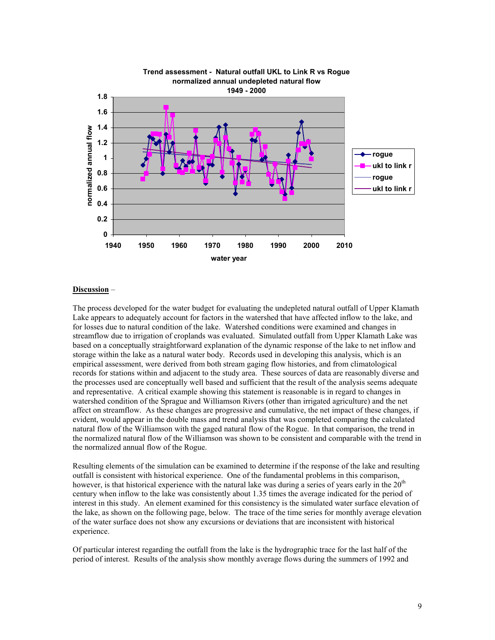

### **Discussion** –

The process developed for the water budget for evaluating the undepleted natural outfall of Upper Klamath Lake appears to adequately account for factors in the watershed that have affected inflow to the lake, and for losses due to natural condition of the lake. Watershed conditions were examined and changes in streamflow due to irrigation of croplands was evaluated. Simulated outfall from Upper Klamath Lake was based on a conceptually straightforward explanation of the dynamic response of the lake to net inflow and storage within the lake as a natural water body. Records used in developing this analysis, which is an empirical assessment, were derived from both stream gaging flow histories, and from climatological records for stations within and adjacent to the study area. These sources of data are reasonably diverse and the processes used are conceptually well based and sufficient that the result of the analysis seems adequate and representative. A critical example showing this statement is reasonable is in regard to changes in watershed condition of the Sprague and Williamson Rivers (other than irrigated agriculture) and the net affect on streamflow. As these changes are progressive and cumulative, the net impact of these changes, if evident, would appear in the double mass and trend analysis that was completed comparing the calculated natural flow of the Williamson with the gaged natural flow of the Rogue. In that comparison, the trend in the normalized natural flow of the Williamson was shown to be consistent and comparable with the trend in the normalized annual flow of the Rogue.

Resulting elements of the simulation can be examined to determine if the response of the lake and resulting outfall is consistent with historical experience. One of the fundamental problems in this comparison, however, is that historical experience with the natural lake was during a series of years early in the  $20<sup>th</sup>$ century when inflow to the lake was consistently about 1.35 times the average indicated for the period of interest in this study. An element examined for this consistency is the simulated water surface elevation of the lake, as shown on the following page, below. The trace of the time series for monthly average elevation of the water surface does not show any excursions or deviations that are inconsistent with historical experience.

Of particular interest regarding the outfall from the lake is the hydrographic trace for the last half of the period of interest. Results of the analysis show monthly average flows during the summers of 1992 and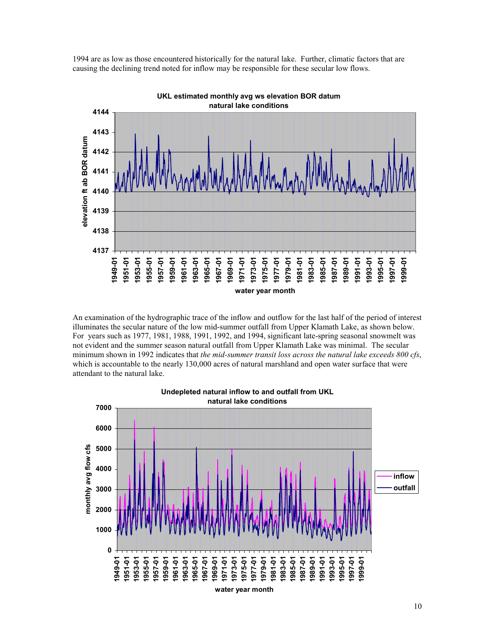

1994 are as low as those encountered historically for the natural lake. Further, climatic factors that are causing the declining trend noted for inflow may be responsible for these secular low flows.

An examination of the hydrographic trace of the inflow and outflow for the last half of the period of interest illuminates the secular nature of the low mid-summer outfall from Upper Klamath Lake, as shown below. For years such as 1977, 1981, 1988, 1991, 1992, and 1994, significant late-spring seasonal snowmelt was not evident and the summer season natural outfall from Upper Klamath Lake was minimal. The secular minimum shown in 1992 indicates that *the mid-summer transit loss across the natural lake exceeds 800 cfs*, which is accountable to the nearly 130,000 acres of natural marshland and open water surface that were attendant to the natural lake.